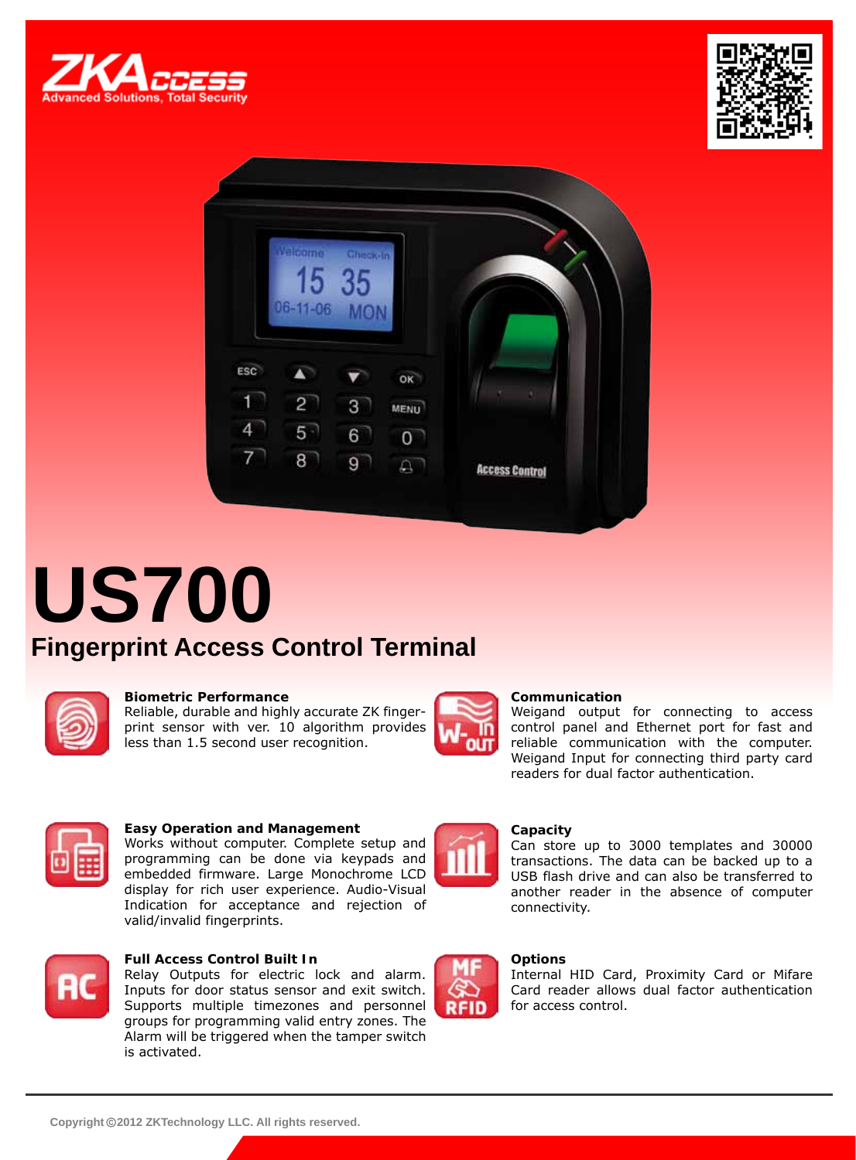





# **US700 Fingerprint Access Control Terminal**



### **Biometric Performance**

Reliable, durable and highly accurate ZK fingerprint sensor with ver. 10 algorithm provides less than 1.5 second user recognition.



### **Communication**

Weigand output for connecting to access control panel and Ethernet port for fast and reliable communication with the computer. Weigand Input for connecting third party card readers for dual factor authentication.



### **Easy Operation and Management**

Works without computer. Complete setup and programming can be done via keypads and embedded firmware. Large Monochrome LCD display for rich user experience. Audio-Visual Indication for acceptance and rejection of valid/invalid fingerprints.



### **Full Access Control Built In**

Relay Outputs for electric lock and alarm. Inputs for door status sensor and exit switch. Supports multiple timezones and personnel groups for programming valid entry zones. The Alarm will be triggered when the tamper switch is activated.



**RFID** 

#### **Capacity**

Can store up to 3000 templates and 30000 transactions. The data can be backed up to a USB flash drive and can also be transferred to another reader in the absence of computer connectivity.

### **Options**

Internal HID Card, Proximity Card or Mifare Card reader allows dual factor authentication for access control.